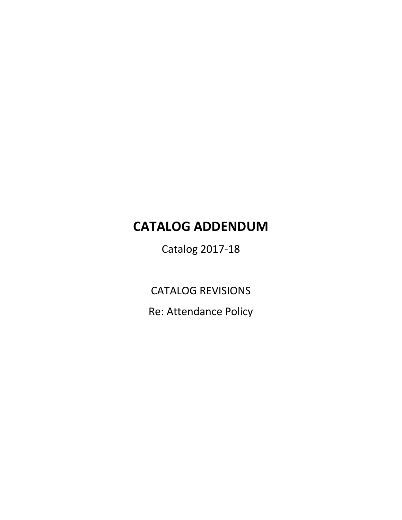## **CATALOG ADDENDUM**

Catalog 2017-18

CATALOG REVISIONS

Re: Attendance Policy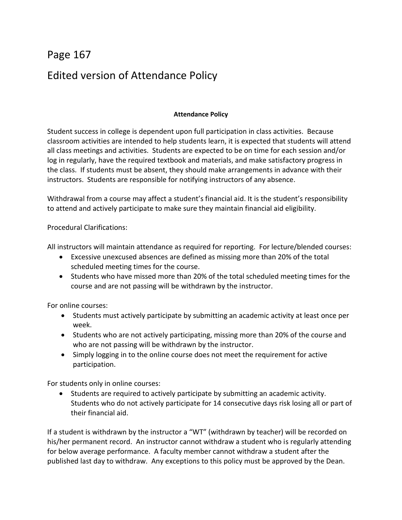## Page 167 Edited version of Attendance Policy

## **Attendance Policy**

Student success in college is dependent upon full participation in class activities. Because classroom activities are intended to help students learn, it is expected that students will attend all class meetings and activities. Students are expected to be on time for each session and/or log in regularly, have the required textbook and materials, and make satisfactory progress in the class. If students must be absent, they should make arrangements in advance with their instructors. Students are responsible for notifying instructors of any absence.

Withdrawal from a course may affect a student's financial aid. It is the student's responsibility to attend and actively participate to make sure they maintain financial aid eligibility.

Procedural Clarifications:

All instructors will maintain attendance as required for reporting. For lecture/blended courses:

- Excessive unexcused absences are defined as missing more than 20% of the total scheduled meeting times for the course.
- Students who have missed more than 20% of the total scheduled meeting times for the course and are not passing will be withdrawn by the instructor.

For online courses:

- Students must actively participate by submitting an academic activity at least once per week.
- Students who are not actively participating, missing more than 20% of the course and who are not passing will be withdrawn by the instructor.
- Simply logging in to the online course does not meet the requirement for active participation.

For students only in online courses:

 Students are required to actively participate by submitting an academic activity. Students who do not actively participate for 14 consecutive days risk losing all or part of their financial aid.

If a student is withdrawn by the instructor a "WT" (withdrawn by teacher) will be recorded on his/her permanent record. An instructor cannot withdraw a student who is regularly attending for below average performance. A faculty member cannot withdraw a student after the published last day to withdraw. Any exceptions to this policy must be approved by the Dean.